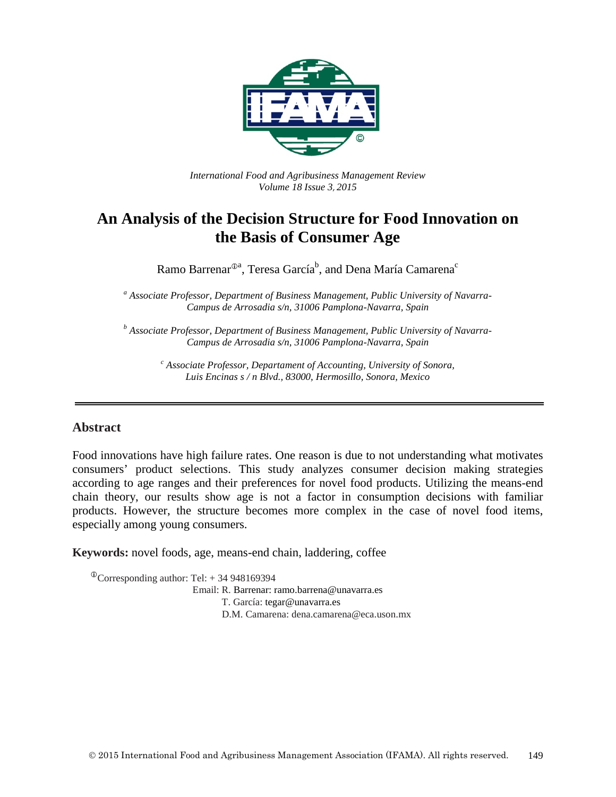

*International Food and Agribusiness Management Review Volume 18 Issue 3*, *2015*

# **An Analysis of the Decision Structure for Food Innovation on the Basis of Consumer Age**

Ramo Barrenar $^{\text{\tiny{\text{0}}}$ a, Teresa García $^{\text{\tiny{\text{b}}}}$ , and Dena María Camarena $^{\text{\tiny{\text{c}}}}$ 

*<sup>a</sup> Associate Professor, Department of Business Management, Public University of Navarra-Campus de Arrosadia s/n, 31006 Pamplona-Navarra, Spain*

*<sup>b</sup> Associate Professor, Department of Business Management, Public University of Navarra-Campus de Arrosadia s/n, 31006 Pamplona-Navarra, Spain*

*<sup>c</sup> Associate Professor, Departament of Accounting, University of Sonora, Luis Encinas s / n Blvd., 83000, Hermosillo, Sonora, Mexico*

#### **Abstract**

Food innovations have high failure rates. One reason is due to not understanding what motivates consumers' product selections. This study analyzes consumer decision making strategies according to age ranges and their preferences for novel food products. Utilizing the means-end chain theory, our results show age is not a factor in consumption decisions with familiar products. However, the structure becomes more complex in the case of novel food items, especially among young consumers.

**Keywords:** novel foods, age, means-end chain, laddering, coffee

 $^{\circ}$ Corresponding author: Tel: + 34 948169394 Email: R. Barrenar: ramo.barrena@unavarra.es T. García: tegar@unavarra.es D.M. Camarena: dena.camarena@eca.uson.mx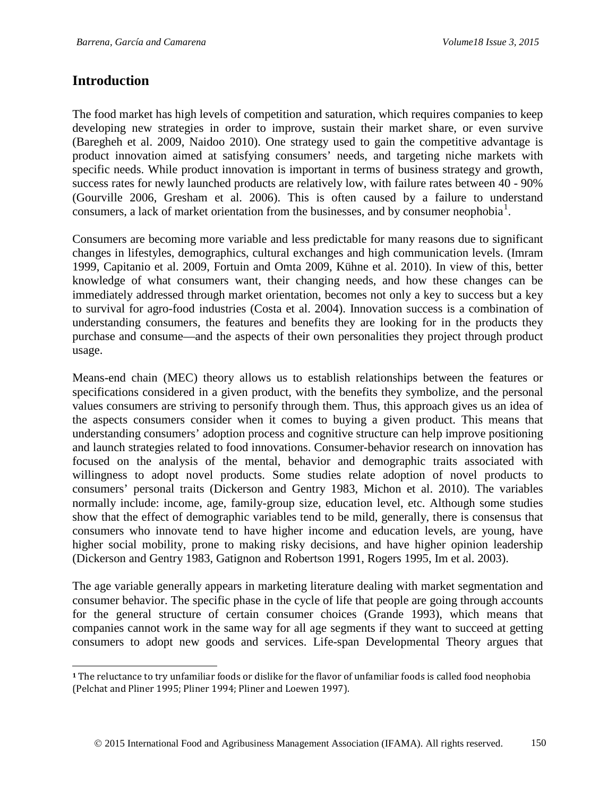## **Introduction**

 $\overline{a}$ 

The food market has high levels of competition and saturation, which requires companies to keep developing new strategies in order to improve, sustain their market share, or even survive (Baregheh et al. 2009, Naidoo 2010). One strategy used to gain the competitive advantage is product innovation aimed at satisfying consumers' needs, and targeting niche markets with specific needs. While product innovation is important in terms of business strategy and growth, success rates for newly launched products are relatively low, with failure rates between 40 - 90% (Gourville 2006, Gresham et al. 2006). This is often caused by a failure to understand consumers, a lack of market orientation from the businesses, and by consumer neophobia<sup>[1](#page-1-0)</sup>.

Consumers are becoming more variable and less predictable for many reasons due to significant changes in lifestyles, demographics, cultural exchanges and high communication levels. (Imram 1999, Capitanio et al. 2009, Fortuin and Omta 2009, Kühne et al. 2010). In view of this, better knowledge of what consumers want, their changing needs, and how these changes can be immediately addressed through market orientation, becomes not only a key to success but a key to survival for agro-food industries (Costa et al. 2004). Innovation success is a combination of understanding consumers, the features and benefits they are looking for in the products they purchase and consume—and the aspects of their own personalities they project through product usage.

Means-end chain (MEC) theory allows us to establish relationships between the features or specifications considered in a given product, with the benefits they symbolize, and the personal values consumers are striving to personify through them. Thus, this approach gives us an idea of the aspects consumers consider when it comes to buying a given product. This means that understanding consumers' adoption process and cognitive structure can help improve positioning and launch strategies related to food innovations. Consumer-behavior research on innovation has focused on the analysis of the mental, behavior and demographic traits associated with willingness to adopt novel products. Some studies relate adoption of novel products to consumers' personal traits (Dickerson and Gentry 1983, Michon et al. 2010). The variables normally include: income, age, family-group size, education level, etc. Although some studies show that the effect of demographic variables tend to be mild, generally, there is consensus that consumers who innovate tend to have higher income and education levels, are young, have higher social mobility, prone to making risky decisions, and have higher opinion leadership (Dickerson and Gentry 1983, Gatignon and Robertson 1991, Rogers 1995, Im et al. 2003).

The age variable generally appears in marketing literature dealing with market segmentation and consumer behavior. The specific phase in the cycle of life that people are going through accounts for the general structure of certain consumer choices (Grande 1993), which means that companies cannot work in the same way for all age segments if they want to succeed at getting consumers to adopt new goods and services. Life-span Developmental Theory argues that

<span id="page-1-0"></span>**<sup>1</sup>** The reluctance to try unfamiliar foods or dislike for the flavor of unfamiliar foods is called food neophobia (Pelchat and Pliner 1995; Pliner 1994; Pliner and Loewen 1997).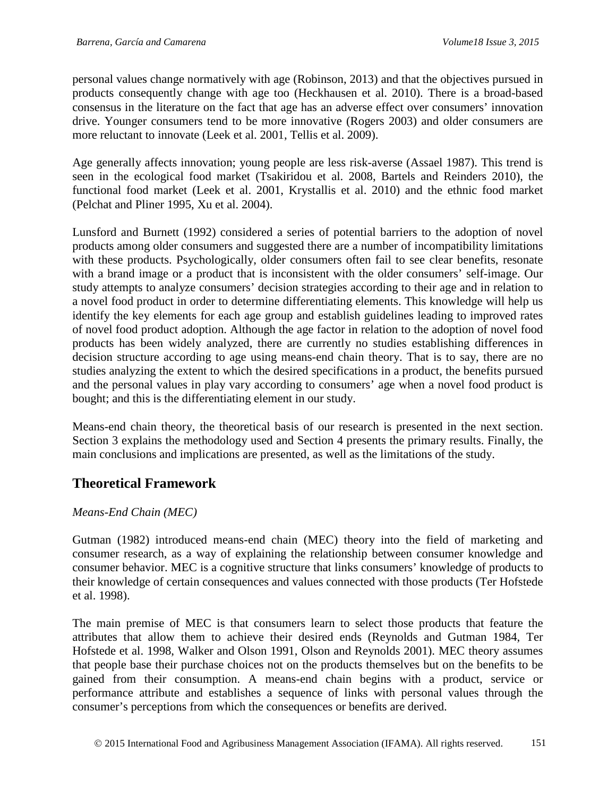personal values change normatively with age (Robinson, 2013) and that the objectives pursued in products consequently change with age too (Heckhausen et al. 2010). There is a broad-based consensus in the literature on the fact that age has an adverse effect over consumers' innovation drive. Younger consumers tend to be more innovative (Rogers 2003) and older consumers are more reluctant to innovate (Leek et al. 2001, Tellis et al. 2009).

Age generally affects innovation; young people are less risk-averse (Assael 1987). This trend is seen in the ecological food market (Tsakiridou et al. 2008, Bartels and Reinders 2010), the functional food market (Leek et al. 2001, Krystallis et al. 2010) and the ethnic food market (Pelchat and Pliner 1995, Xu et al. 2004).

Lunsford and Burnett (1992) considered a series of potential barriers to the adoption of novel products among older consumers and suggested there are a number of incompatibility limitations with these products. Psychologically, older consumers often fail to see clear benefits, resonate with a brand image or a product that is inconsistent with the older consumers' self-image. Our study attempts to analyze consumers' decision strategies according to their age and in relation to a novel food product in order to determine differentiating elements. This knowledge will help us identify the key elements for each age group and establish guidelines leading to improved rates of novel food product adoption. Although the age factor in relation to the adoption of novel food products has been widely analyzed, there are currently no studies establishing differences in decision structure according to age using means-end chain theory. That is to say, there are no studies analyzing the extent to which the desired specifications in a product, the benefits pursued and the personal values in play vary according to consumers' age when a novel food product is bought; and this is the differentiating element in our study.

Means-end chain theory, the theoretical basis of our research is presented in the next section. Section 3 explains the methodology used and Section 4 presents the primary results. Finally, the main conclusions and implications are presented, as well as the limitations of the study.

# **Theoretical Framework**

## *Means-End Chain (MEC)*

Gutman (1982) introduced means-end chain (MEC) theory into the field of marketing and consumer research, as a way of explaining the relationship between consumer knowledge and consumer behavior. MEC is a cognitive structure that links consumers' knowledge of products to their knowledge of certain consequences and values connected with those products (Ter Hofstede et al. 1998).

The main premise of MEC is that consumers learn to select those products that feature the attributes that allow them to achieve their desired ends (Reynolds and Gutman 1984, Ter Hofstede et al. 1998, Walker and Olson 1991, Olson and Reynolds 2001). MEC theory assumes that people base their purchase choices not on the products themselves but on the benefits to be gained from their consumption. A means-end chain begins with a product, service or performance attribute and establishes a sequence of links with personal values through the consumer's perceptions from which the consequences or benefits are derived.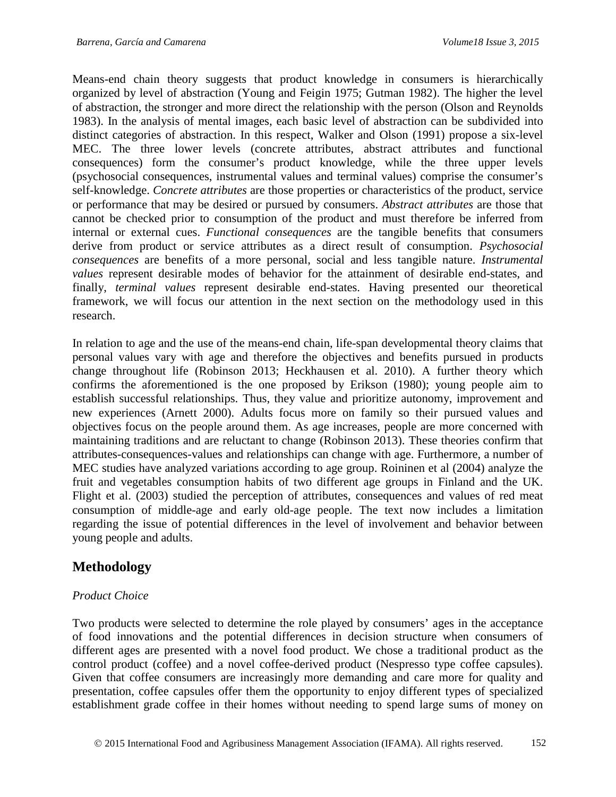Means-end chain theory suggests that product knowledge in consumers is hierarchically organized by level of abstraction (Young and Feigin 1975; Gutman 1982). The higher the level of abstraction, the stronger and more direct the relationship with the person (Olson and Reynolds 1983). In the analysis of mental images, each basic level of abstraction can be subdivided into distinct categories of abstraction. In this respect, Walker and Olson (1991) propose a six-level MEC. The three lower levels (concrete attributes, abstract attributes and functional consequences) form the consumer's product knowledge, while the three upper levels (psychosocial consequences, instrumental values and terminal values) comprise the consumer's self-knowledge. *Concrete attributes* are those properties or characteristics of the product, service or performance that may be desired or pursued by consumers. *Abstract attributes* are those that cannot be checked prior to consumption of the product and must therefore be inferred from internal or external cues. *Functional consequences* are the tangible benefits that consumers derive from product or service attributes as a direct result of consumption. *Psychosocial consequences* are benefits of a more personal, social and less tangible nature. *Instrumental values* represent desirable modes of behavior for the attainment of desirable end-states, and finally, *terminal values* represent desirable end-states. Having presented our theoretical framework, we will focus our attention in the next section on the methodology used in this research.

In relation to age and the use of the means-end chain, life-span developmental theory claims that personal values vary with age and therefore the objectives and benefits pursued in products change throughout life (Robinson 2013; Heckhausen et al. 2010). A further theory which confirms the aforementioned is the one proposed by Erikson (1980); young people aim to establish successful relationships. Thus, they value and prioritize autonomy, improvement and new experiences (Arnett 2000). Adults focus more on family so their pursued values and objectives focus on the people around them. As age increases, people are more concerned with maintaining traditions and are reluctant to change (Robinson 2013). These theories confirm that attributes-consequences-values and relationships can change with age. Furthermore, a number of MEC studies have analyzed variations according to age group. Roininen et al (2004) analyze the fruit and vegetables consumption habits of two different age groups in Finland and the UK. Flight et al. (2003) studied the perception of attributes, consequences and values of red meat consumption of middle-age and early old-age people. The text now includes a limitation regarding the issue of potential differences in the level of involvement and behavior between young people and adults.

# **Methodology**

### *Product Choice*

Two products were selected to determine the role played by consumers' ages in the acceptance of food innovations and the potential differences in decision structure when consumers of different ages are presented with a novel food product. We chose a traditional product as the control product (coffee) and a novel coffee-derived product (Nespresso type coffee capsules). Given that coffee consumers are increasingly more demanding and care more for quality and presentation, coffee capsules offer them the opportunity to enjoy different types of specialized establishment grade coffee in their homes without needing to spend large sums of money on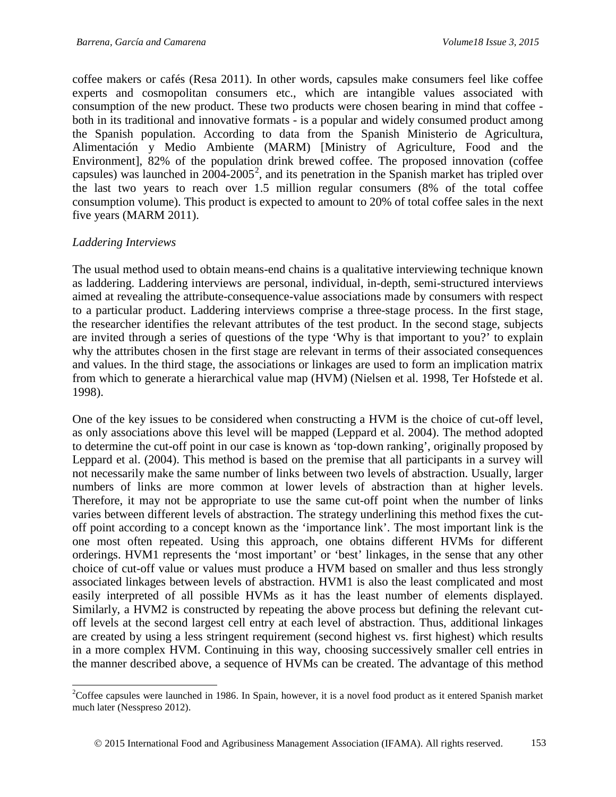coffee makers or cafés (Resa 2011). In other words, capsules make consumers feel like coffee experts and cosmopolitan consumers etc., which are intangible values associated with consumption of the new product. These two products were chosen bearing in mind that coffee both in its traditional and innovative formats - is a popular and widely consumed product among the Spanish population. According to data from the Spanish Ministerio de Agricultura, Alimentación y Medio Ambiente (MARM) [Ministry of Agriculture, Food and the Environment], 82% of the population drink brewed coffee. The proposed innovation (coffee capsules) was launched in  $2004$  $2004$ - $2005^2$ , and its penetration in the Spanish market has tripled over the last two years to reach over 1.5 million regular consumers (8% of the total coffee consumption volume). This product is expected to amount to 20% of total coffee sales in the next five years (MARM 2011).

#### *Laddering Interviews*

The usual method used to obtain means-end chains is a qualitative interviewing technique known as laddering. Laddering interviews are personal, individual, in-depth, semi-structured interviews aimed at revealing the attribute-consequence-value associations made by consumers with respect to a particular product. Laddering interviews comprise a three-stage process. In the first stage, the researcher identifies the relevant attributes of the test product. In the second stage, subjects are invited through a series of questions of the type 'Why is that important to you?' to explain why the attributes chosen in the first stage are relevant in terms of their associated consequences and values. In the third stage, the associations or linkages are used to form an implication matrix from which to generate a hierarchical value map (HVM) (Nielsen et al. 1998, Ter Hofstede et al. 1998).

One of the key issues to be considered when constructing a HVM is the choice of cut-off level, as only associations above this level will be mapped (Leppard et al. 2004). The method adopted to determine the cut-off point in our case is known as 'top-down ranking', originally proposed by Leppard et al. (2004). This method is based on the premise that all participants in a survey will not necessarily make the same number of links between two levels of abstraction. Usually, larger numbers of links are more common at lower levels of abstraction than at higher levels. Therefore, it may not be appropriate to use the same cut-off point when the number of links varies between different levels of abstraction. The strategy underlining this method fixes the cutoff point according to a concept known as the 'importance link'. The most important link is the one most often repeated. Using this approach, one obtains different HVMs for different orderings. HVM1 represents the 'most important' or 'best' linkages, in the sense that any other choice of cut-off value or values must produce a HVM based on smaller and thus less strongly associated linkages between levels of abstraction. HVM1 is also the least complicated and most easily interpreted of all possible HVMs as it has the least number of elements displayed. Similarly, a HVM2 is constructed by repeating the above process but defining the relevant cutoff levels at the second largest cell entry at each level of abstraction. Thus, additional linkages are created by using a less stringent requirement (second highest vs. first highest) which results in a more complex HVM. Continuing in this way, choosing successively smaller cell entries in the manner described above, a sequence of HVMs can be created. The advantage of this method

<span id="page-4-0"></span><sup>&</sup>lt;sup>2</sup>Coffee capsules were launched in 1986. In Spain, however, it is a novel food product as it entered Spanish market much later (Nesspreso 2012).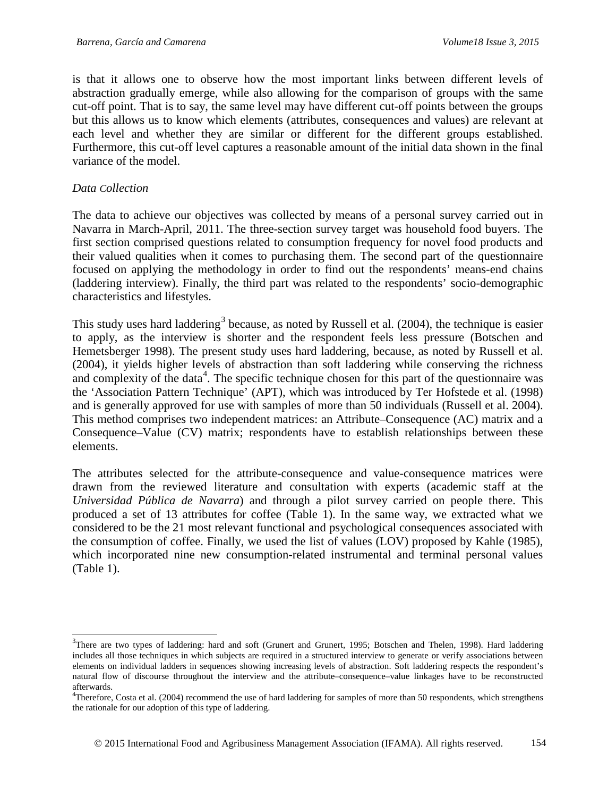is that it allows one to observe how the most important links between different levels of abstraction gradually emerge, while also allowing for the comparison of groups with the same cut-off point. That is to say, the same level may have different cut-off points between the groups but this allows us to know which elements (attributes, consequences and values) are relevant at each level and whether they are similar or different for the different groups established. Furthermore, this cut-off level captures a reasonable amount of the initial data shown in the final variance of the model.

#### *Data Collection*

The data to achieve our objectives was collected by means of a personal survey carried out in Navarra in March-April, 2011. The three-section survey target was household food buyers. The first section comprised questions related to consumption frequency for novel food products and their valued qualities when it comes to purchasing them. The second part of the questionnaire focused on applying the methodology in order to find out the respondents' means-end chains (laddering interview). Finally, the third part was related to the respondents' socio-demographic characteristics and lifestyles.

This study uses hard laddering<sup>[3](#page-5-0)</sup> because, as noted by Russell et al.  $(2004)$ , the technique is easier to apply, as the interview is shorter and the respondent feels less pressure (Botschen and Hemetsberger 1998). The present study uses hard laddering, because, as noted by Russell et al. (2004), it yields higher levels of abstraction than soft laddering while conserving the richness and complexity of the data<sup>[4](#page-5-1)</sup>. The specific technique chosen for this part of the questionnaire was the 'Association Pattern Technique' (APT), which was introduced by Ter Hofstede et al. (1998) and is generally approved for use with samples of more than 50 individuals (Russell et al. 2004). This method comprises two independent matrices: an Attribute–Consequence (AC) matrix and a Consequence–Value (CV) matrix; respondents have to establish relationships between these elements.

The attributes selected for the attribute-consequence and value-consequence matrices were drawn from the reviewed literature and consultation with experts (academic staff at the *Universidad Pública de Navarra*) and through a pilot survey carried on people there. This produced a set of 13 attributes for coffee (Table 1). In the same way, we extracted what we considered to be the 21 most relevant functional and psychological consequences associated with the consumption of coffee. Finally, we used the list of values (LOV) proposed by Kahle (1985), which incorporated nine new consumption-related instrumental and terminal personal values (Table 1).

<span id="page-5-0"></span> <sup>3</sup> There are two types of laddering: hard and soft (Grunert and Grunert, 1995; Botschen and Thelen, 1998). Hard laddering includes all those techniques in which subjects are required in a structured interview to generate or verify associations between elements on individual ladders in sequences showing increasing levels of abstraction. Soft laddering respects the respondent's natural flow of discourse throughout the interview and the attribute–consequence–value linkages have to be reconstructed afterwards.

<span id="page-5-1"></span><sup>&</sup>lt;sup>4</sup>Therefore, Costa et al. (2004) recommend the use of hard laddering for samples of more than 50 respondents, which strengthens the rationale for our adoption of this type of laddering.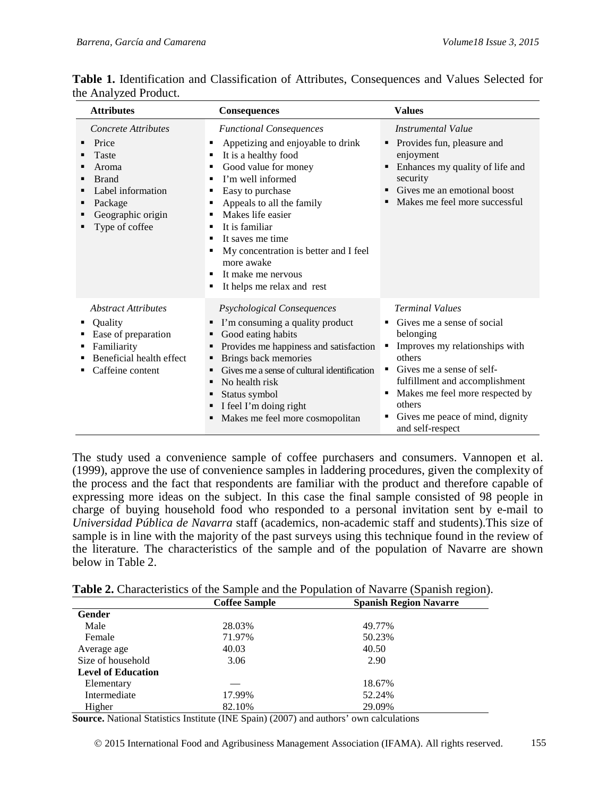| <b>Attributes</b>                                                                                                                                 | <b>Consequences</b>                                                                                                                                                                                                                                                                                                                                                                           | <b>Values</b>                                                                                                                                                                                                                                                                         |  |  |
|---------------------------------------------------------------------------------------------------------------------------------------------------|-----------------------------------------------------------------------------------------------------------------------------------------------------------------------------------------------------------------------------------------------------------------------------------------------------------------------------------------------------------------------------------------------|---------------------------------------------------------------------------------------------------------------------------------------------------------------------------------------------------------------------------------------------------------------------------------------|--|--|
| <b>Concrete Attributes</b><br>Price<br>Taste<br>Aroma<br><b>Brand</b><br>Label information<br>Package<br>٠<br>Geographic origin<br>Type of coffee | <b>Functional Consequences</b><br>Appetizing and enjoyable to drink<br>п<br>It is a healthy food<br>п<br>Good value for money<br>п<br>I'm well informed<br>Easy to purchase<br>Appeals to all the family<br>Makes life easier<br>п<br>It is familiar<br>It saves me time<br>п<br>My concentration is better and I feel<br>more awake<br>It make me nervous<br>п<br>It helps me relax and rest | <b>Instrumental Value</b><br>• Provides fun, pleasure and<br>enjoyment<br>Enhances my quality of life and<br>٠<br>security<br>Gives me an emotional boost<br>Makes me feel more successful                                                                                            |  |  |
| <b>Abstract Attributes</b><br>Quality<br>Ease of preparation<br>Familiarity<br>Beneficial health effect<br>Caffeine content                       | <b>Psychological Consequences</b><br>I'm consuming a quality product<br>Good eating habits<br>Provides me happiness and satisfaction<br>п<br>Brings back memories<br>Gives me a sense of cultural identification<br>No health risk<br>п<br>Status symbol<br>I feel I'm doing right<br>Makes me feel more cosmopolitan                                                                         | <b>Terminal Values</b><br>Gives me a sense of social<br>belonging<br>Improves my relationships with<br>others<br>Gives me a sense of self-<br>٠<br>fulfillment and accomplishment<br>Makes me feel more respected by<br>others<br>Gives me peace of mind, dignity<br>and self-respect |  |  |

**Table 1.** Identification and Classification of Attributes, Consequences and Values Selected for the Analyzed Product.

The study used a convenience sample of coffee purchasers and consumers. Vannopen et al. (1999), approve the use of convenience samples in laddering procedures, given the complexity of the process and the fact that respondents are familiar with the product and therefore capable of expressing more ideas on the subject. In this case the final sample consisted of 98 people in charge of buying household food who responded to a personal invitation sent by e-mail to *Universidad Pública de Navarra* staff (academics, non-academic staff and students).This size of sample is in line with the majority of the past surveys using this technique found in the review of the literature. The characteristics of the sample and of the population of Navarre are shown below in Table 2.

**Table 2.** Characteristics of the Sample and the Population of Navarre (Spanish region).

|                           | <b>Coffee Sample</b> | <b>Spanish Region Navarre</b> |
|---------------------------|----------------------|-------------------------------|
| Gender                    |                      |                               |
| Male                      | 28.03%               | 49.77%                        |
| Female                    | 71.97%               | 50.23%                        |
| Average age               | 40.03                | 40.50                         |
| Size of household         | 3.06                 | 2.90                          |
| <b>Level of Education</b> |                      |                               |
| Elementary                |                      | 18.67%                        |
| Intermediate              | 17.99%               | 52.24%                        |
| Higher                    | 82.10%               | 29.09%                        |

**Source.** National Statistics Institute (INE Spain) (2007) and authors' own calculations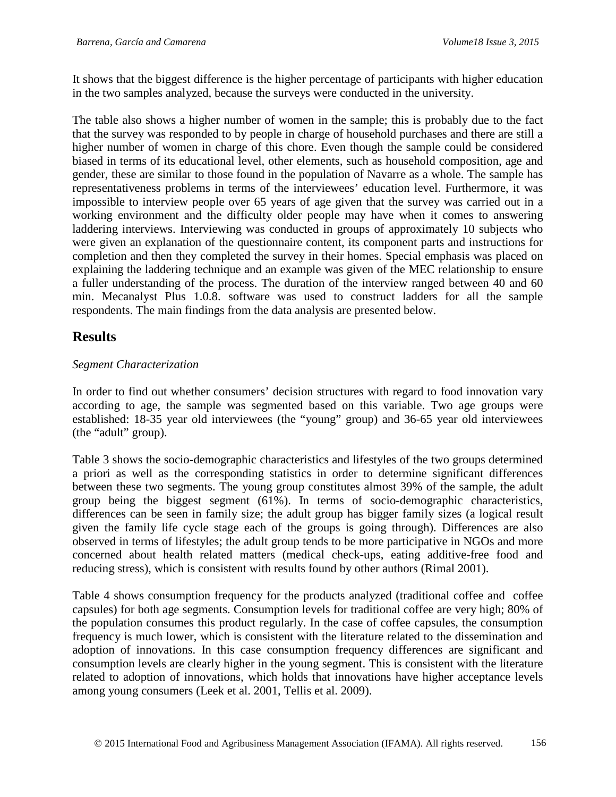It shows that the biggest difference is the higher percentage of participants with higher education in the two samples analyzed, because the surveys were conducted in the university.

The table also shows a higher number of women in the sample; this is probably due to the fact that the survey was responded to by people in charge of household purchases and there are still a higher number of women in charge of this chore. Even though the sample could be considered biased in terms of its educational level, other elements, such as household composition, age and gender, these are similar to those found in the population of Navarre as a whole. The sample has representativeness problems in terms of the interviewees' education level. Furthermore, it was impossible to interview people over 65 years of age given that the survey was carried out in a working environment and the difficulty older people may have when it comes to answering laddering interviews. Interviewing was conducted in groups of approximately 10 subjects who were given an explanation of the questionnaire content, its component parts and instructions for completion and then they completed the survey in their homes. Special emphasis was placed on explaining the laddering technique and an example was given of the MEC relationship to ensure a fuller understanding of the process. The duration of the interview ranged between 40 and 60 min. Mecanalyst Plus 1.0.8. software was used to construct ladders for all the sample respondents. The main findings from the data analysis are presented below.

# **Results**

## *Segment Characterization*

In order to find out whether consumers' decision structures with regard to food innovation vary according to age, the sample was segmented based on this variable. Two age groups were established: 18-35 year old interviewees (the "young" group) and 36-65 year old interviewees (the "adult" group).

Table 3 shows the socio-demographic characteristics and lifestyles of the two groups determined a priori as well as the corresponding statistics in order to determine significant differences between these two segments. The young group constitutes almost 39% of the sample, the adult group being the biggest segment (61%). In terms of socio-demographic characteristics, differences can be seen in family size; the adult group has bigger family sizes (a logical result given the family life cycle stage each of the groups is going through). Differences are also observed in terms of lifestyles; the adult group tends to be more participative in NGOs and more concerned about health related matters (medical check-ups, eating additive-free food and reducing stress), which is consistent with results found by other authors (Rimal 2001).

Table 4 shows consumption frequency for the products analyzed (traditional coffee and coffee capsules) for both age segments. Consumption levels for traditional coffee are very high; 80% of the population consumes this product regularly. In the case of coffee capsules, the consumption frequency is much lower, which is consistent with the literature related to the dissemination and adoption of innovations. In this case consumption frequency differences are significant and consumption levels are clearly higher in the young segment. This is consistent with the literature related to adoption of innovations, which holds that innovations have higher acceptance levels among young consumers (Leek et al. 2001, Tellis et al. 2009).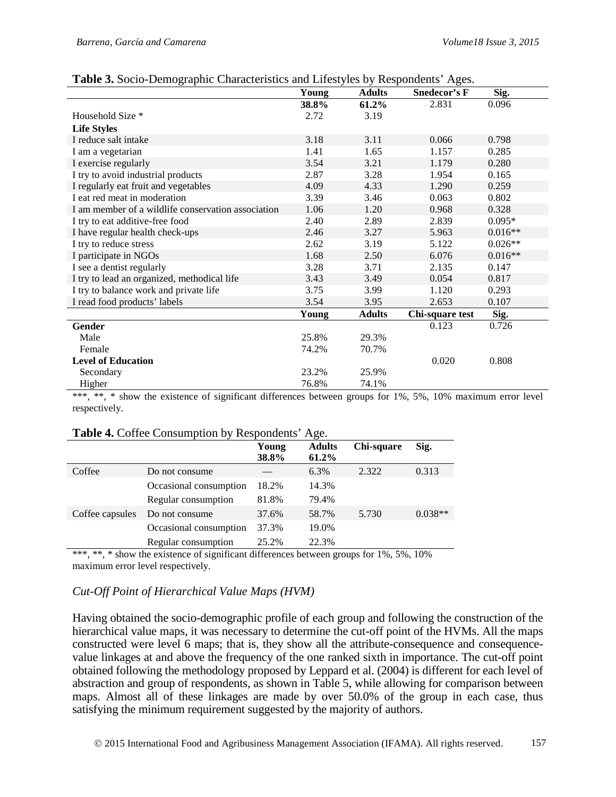| Table 3. Socio-Demographic Characteristics and Lifestyles by Respondents' Ages. |  |  |
|---------------------------------------------------------------------------------|--|--|
|                                                                                 |  |  |

| O                                                  | Young | <b>Adults</b> | o<br><b>Snedecor's F</b> | Sig.      |
|----------------------------------------------------|-------|---------------|--------------------------|-----------|
|                                                    | 38.8% | 61.2%         | 2.831                    | 0.096     |
| Household Size *                                   | 2.72  | 3.19          |                          |           |
| <b>Life Styles</b>                                 |       |               |                          |           |
| I reduce salt intake                               | 3.18  | 3.11          | 0.066                    | 0.798     |
| I am a vegetarian                                  | 1.41  | 1.65          | 1.157                    | 0.285     |
| I exercise regularly                               | 3.54  | 3.21          | 1.179                    | 0.280     |
| I try to avoid industrial products                 | 2.87  | 3.28          | 1.954                    | 0.165     |
| I regularly eat fruit and vegetables               | 4.09  | 4.33          | 1.290                    | 0.259     |
| I eat red meat in moderation                       | 3.39  | 3.46          | 0.063                    | 0.802     |
| I am member of a wildlife conservation association | 1.06  | 1.20          | 0.968                    | 0.328     |
| I try to eat additive-free food                    | 2.40  | 2.89          | 2.839                    | $0.095*$  |
| I have regular health check-ups                    | 2.46  | 3.27          | 5.963                    | $0.016**$ |
| I try to reduce stress                             | 2.62  | 3.19          | 5.122                    | $0.026**$ |
| I participate in NGOs                              | 1.68  | 2.50          | 6.076                    | $0.016**$ |
| I see a dentist regularly                          | 3.28  | 3.71          | 2.135                    | 0.147     |
| I try to lead an organized, methodical life        | 3.43  | 3.49          | 0.054                    | 0.817     |
| I try to balance work and private life             | 3.75  | 3.99          | 1.120                    | 0.293     |
| I read food products' labels                       | 3.54  | 3.95          | 2.653                    | 0.107     |
|                                                    | Young | <b>Adults</b> | Chi-square test          | Sig.      |
| Gender                                             |       |               | 0.123                    | 0.726     |
| Male                                               | 25.8% | 29.3%         |                          |           |
| Female                                             | 74.2% | 70.7%         |                          |           |
| <b>Level of Education</b>                          |       |               | 0.020                    | 0.808     |
| Secondary                                          | 23.2% | 25.9%         |                          |           |
| Higher                                             | 76.8% | 74.1%         |                          |           |

\*\*\*, \*\*, \* show the existence of significant differences between groups for  $1\%$ ,  $5\%$ ,  $10\%$  maximum error level respectively.

|                 |                        | Young<br>38.8% | <b>Adults</b><br>61.2% | Chi-square | Sig.      |
|-----------------|------------------------|----------------|------------------------|------------|-----------|
| Coffee          | Do not consume         |                | 6.3%                   | 2.322      | 0.313     |
|                 | Occasional consumption | 18.2%          | 14.3%                  |            |           |
|                 | Regular consumption    | 81.8%          | 79.4%                  |            |           |
| Coffee capsules | Do not consume         | 37.6%          | 58.7%                  | 5.730      | $0.038**$ |
|                 | Occasional consumption | 37.3%          | 19.0%                  |            |           |
|                 | Regular consumption    | 25.2%          | 22.3%                  |            |           |

#### Table 4. Coffee Consumption by Respondents' Age.

\*\*\*, \*\*, \* show the existence of significant differences between groups for 1%, 5%, 10% maximum error level respectively.

### *Cut-Off Point of Hierarchical Value Maps (HVM)*

Having obtained the socio-demographic profile of each group and following the construction of the hierarchical value maps, it was necessary to determine the cut-off point of the HVMs. All the maps constructed were level 6 maps; that is, they show all the attribute-consequence and consequencevalue linkages at and above the frequency of the one ranked sixth in importance. The cut-off point obtained following the methodology proposed by Leppard et al. (2004) is different for each level of abstraction and group of respondents, as shown in Table 5, while allowing for comparison between maps. Almost all of these linkages are made by over 50.0% of the group in each case, thus satisfying the minimum requirement suggested by the majority of authors.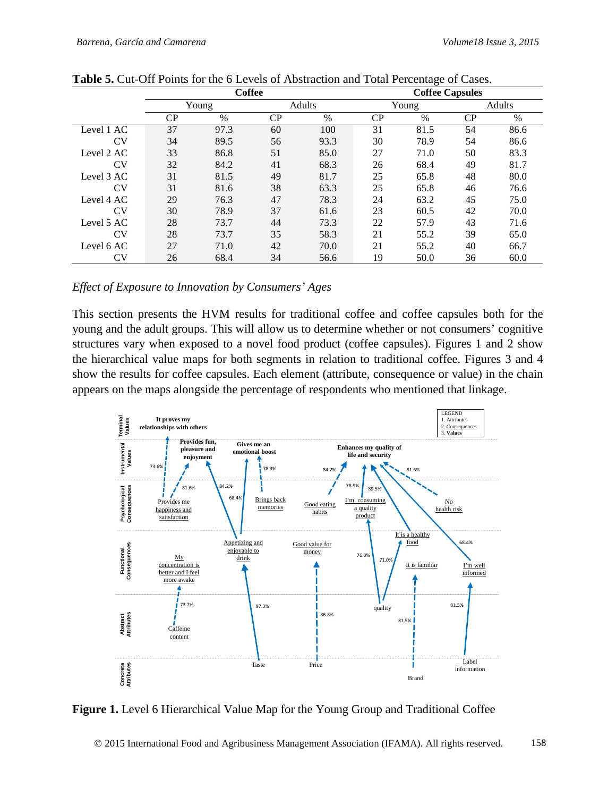|            | <b>Coffee</b> |      |          | <b>Coffee Capsules</b> |    |       |    |               |  |
|------------|---------------|------|----------|------------------------|----|-------|----|---------------|--|
|            | Young         |      |          | <b>Adults</b>          |    | Young |    | <b>Adults</b> |  |
|            | <b>CP</b>     | $\%$ | $\rm CP$ | %                      | CР | $\%$  | CP | $\%$          |  |
| Level 1 AC | 37            | 97.3 | 60       | 100                    | 31 | 81.5  | 54 | 86.6          |  |
| CV         | 34            | 89.5 | 56       | 93.3                   | 30 | 78.9  | 54 | 86.6          |  |
| Level 2 AC | 33            | 86.8 | 51       | 85.0                   | 27 | 71.0  | 50 | 83.3          |  |
| CV         | 32            | 84.2 | 41       | 68.3                   | 26 | 68.4  | 49 | 81.7          |  |
| Level 3 AC | 31            | 81.5 | 49       | 81.7                   | 25 | 65.8  | 48 | 80.0          |  |
| CV         | 31            | 81.6 | 38       | 63.3                   | 25 | 65.8  | 46 | 76.6          |  |
| Level 4 AC | 29            | 76.3 | 47       | 78.3                   | 24 | 63.2  | 45 | 75.0          |  |
| CV         | 30            | 78.9 | 37       | 61.6                   | 23 | 60.5  | 42 | 70.0          |  |
| Level 5 AC | 28            | 73.7 | 44       | 73.3                   | 22 | 57.9  | 43 | 71.6          |  |
| CV         | 28            | 73.7 | 35       | 58.3                   | 21 | 55.2  | 39 | 65.0          |  |
| Level 6 AC | 27            | 71.0 | 42       | 70.0                   | 21 | 55.2  | 40 | 66.7          |  |
| CV         | 26            | 68.4 | 34       | 56.6                   | 19 | 50.0  | 36 | 60.0          |  |

### *Effect of Exposure to Innovation by Consumers' Ages*

This section presents the HVM results for traditional coffee and coffee capsules both for the young and the adult groups. This will allow us to determine whether or not consumers' cognitive structures vary when exposed to a novel food product (coffee capsules). Figures 1 and 2 show the hierarchical value maps for both segments in relation to traditional coffee. Figures 3 and 4 show the results for coffee capsules. Each element (attribute, consequence or value) in the chain appears on the maps alongside the percentage of respondents who mentioned that linkage.

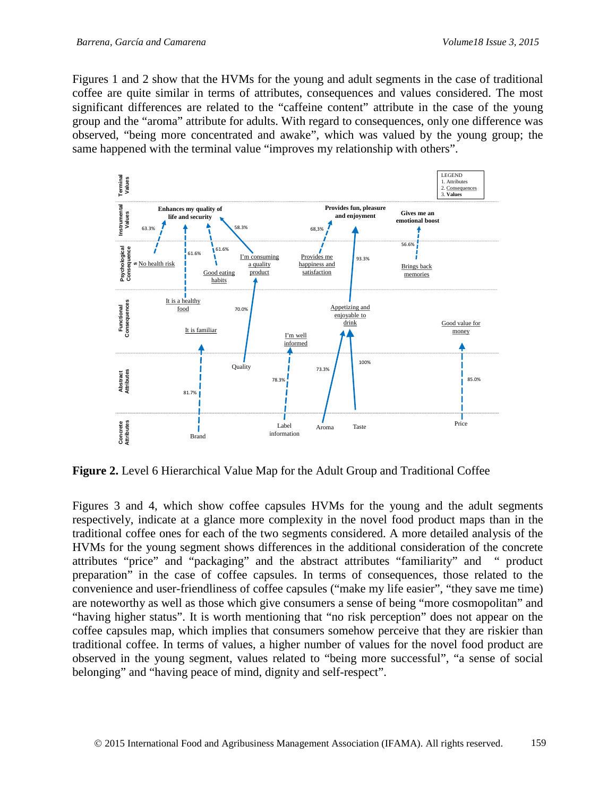Figures 1 and 2 show that the HVMs for the young and adult segments in the case of traditional coffee are quite similar in terms of attributes, consequences and values considered. The most significant differences are related to the "caffeine content" attribute in the case of the young group and the "aroma" attribute for adults. With regard to consequences, only one difference was observed, "being more concentrated and awake", which was valued by the young group; the same happened with the terminal value "improves my relationship with others".



**Figure 2.** Level 6 Hierarchical Value Map for the Adult Group and Traditional Coffee

Figures 3 and 4, which show coffee capsules HVMs for the young and the adult segments respectively, indicate at a glance more complexity in the novel food product maps than in the traditional coffee ones for each of the two segments considered. A more detailed analysis of the HVMs for the young segment shows differences in the additional consideration of the concrete attributes "price" and "packaging" and the abstract attributes "familiarity" and " product preparation" in the case of coffee capsules. In terms of consequences, those related to the convenience and user-friendliness of coffee capsules ("make my life easier", "they save me time) are noteworthy as well as those which give consumers a sense of being "more cosmopolitan" and "having higher status". It is worth mentioning that "no risk perception" does not appear on the coffee capsules map, which implies that consumers somehow perceive that they are riskier than traditional coffee. In terms of values, a higher number of values for the novel food product are observed in the young segment, values related to "being more successful", "a sense of social belonging" and "having peace of mind, dignity and self-respect".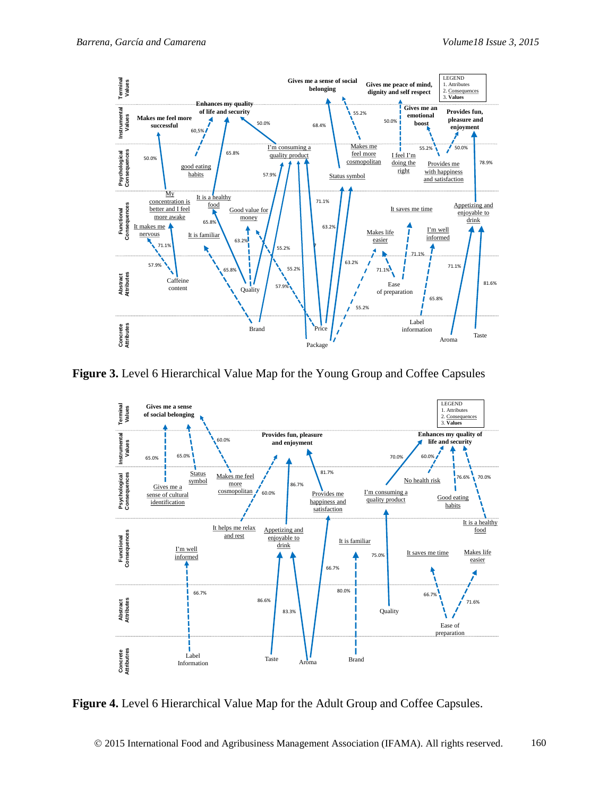

**Figure 3.** Level 6 Hierarchical Value Map for the Young Group and Coffee Capsules



**Figure 4.** Level 6 Hierarchical Value Map for the Adult Group and Coffee Capsules.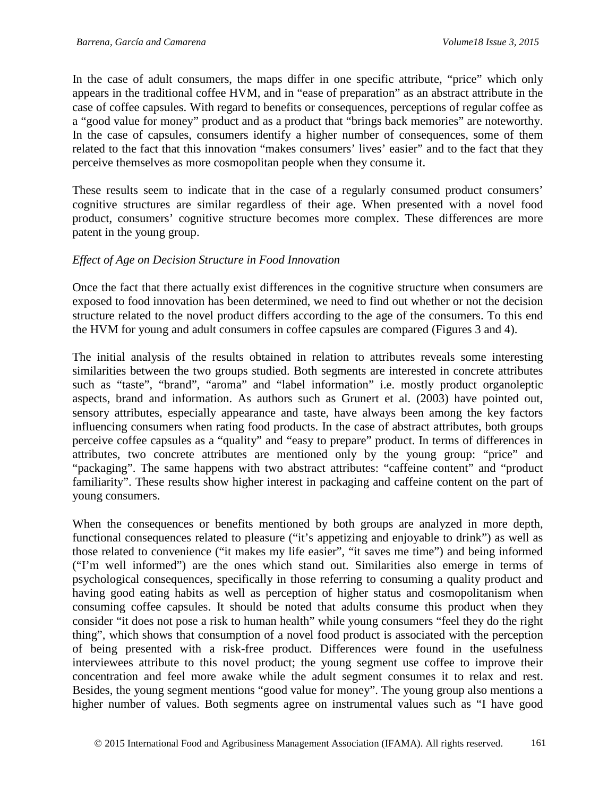In the case of adult consumers, the maps differ in one specific attribute, "price" which only appears in the traditional coffee HVM, and in "ease of preparation" as an abstract attribute in the case of coffee capsules. With regard to benefits or consequences, perceptions of regular coffee as a "good value for money" product and as a product that "brings back memories" are noteworthy. In the case of capsules, consumers identify a higher number of consequences, some of them related to the fact that this innovation "makes consumers' lives' easier" and to the fact that they perceive themselves as more cosmopolitan people when they consume it.

These results seem to indicate that in the case of a regularly consumed product consumers' cognitive structures are similar regardless of their age. When presented with a novel food product, consumers' cognitive structure becomes more complex. These differences are more patent in the young group.

#### *Effect of Age on Decision Structure in Food Innovation*

Once the fact that there actually exist differences in the cognitive structure when consumers are exposed to food innovation has been determined, we need to find out whether or not the decision structure related to the novel product differs according to the age of the consumers. To this end the HVM for young and adult consumers in coffee capsules are compared (Figures 3 and 4).

The initial analysis of the results obtained in relation to attributes reveals some interesting similarities between the two groups studied. Both segments are interested in concrete attributes such as "taste", "brand", "aroma" and "label information" i.e. mostly product organoleptic aspects, brand and information. As authors such as Grunert et al. (2003) have pointed out, sensory attributes, especially appearance and taste, have always been among the key factors influencing consumers when rating food products. In the case of abstract attributes, both groups perceive coffee capsules as a "quality" and "easy to prepare" product. In terms of differences in attributes, two concrete attributes are mentioned only by the young group: "price" and "packaging". The same happens with two abstract attributes: "caffeine content" and "product familiarity". These results show higher interest in packaging and caffeine content on the part of young consumers.

When the consequences or benefits mentioned by both groups are analyzed in more depth, functional consequences related to pleasure ("it's appetizing and enjoyable to drink") as well as those related to convenience ("it makes my life easier", "it saves me time") and being informed ("I'm well informed") are the ones which stand out. Similarities also emerge in terms of psychological consequences, specifically in those referring to consuming a quality product and having good eating habits as well as perception of higher status and cosmopolitanism when consuming coffee capsules. It should be noted that adults consume this product when they consider "it does not pose a risk to human health" while young consumers "feel they do the right thing", which shows that consumption of a novel food product is associated with the perception of being presented with a risk-free product. Differences were found in the usefulness interviewees attribute to this novel product; the young segment use coffee to improve their concentration and feel more awake while the adult segment consumes it to relax and rest. Besides, the young segment mentions "good value for money". The young group also mentions a higher number of values. Both segments agree on instrumental values such as "I have good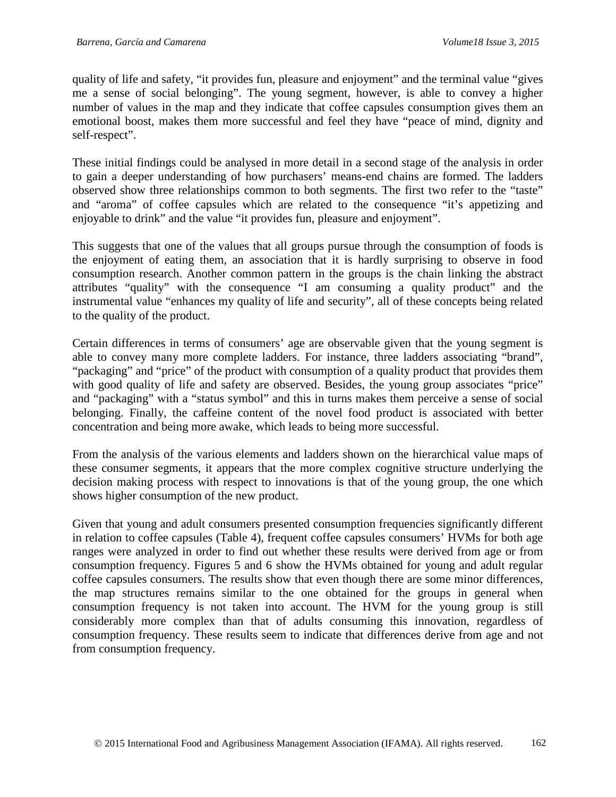quality of life and safety, "it provides fun, pleasure and enjoyment" and the terminal value "gives me a sense of social belonging". The young segment, however, is able to convey a higher number of values in the map and they indicate that coffee capsules consumption gives them an emotional boost, makes them more successful and feel they have "peace of mind, dignity and self-respect".

These initial findings could be analysed in more detail in a second stage of the analysis in order to gain a deeper understanding of how purchasers' means-end chains are formed. The ladders observed show three relationships common to both segments. The first two refer to the "taste" and "aroma" of coffee capsules which are related to the consequence "it's appetizing and enjoyable to drink" and the value "it provides fun, pleasure and enjoyment".

This suggests that one of the values that all groups pursue through the consumption of foods is the enjoyment of eating them, an association that it is hardly surprising to observe in food consumption research. Another common pattern in the groups is the chain linking the abstract attributes "quality" with the consequence "I am consuming a quality product" and the instrumental value "enhances my quality of life and security", all of these concepts being related to the quality of the product.

Certain differences in terms of consumers' age are observable given that the young segment is able to convey many more complete ladders. For instance, three ladders associating "brand", "packaging" and "price" of the product with consumption of a quality product that provides them with good quality of life and safety are observed. Besides, the young group associates "price" and "packaging" with a "status symbol" and this in turns makes them perceive a sense of social belonging. Finally, the caffeine content of the novel food product is associated with better concentration and being more awake, which leads to being more successful.

From the analysis of the various elements and ladders shown on the hierarchical value maps of these consumer segments, it appears that the more complex cognitive structure underlying the decision making process with respect to innovations is that of the young group, the one which shows higher consumption of the new product.

Given that young and adult consumers presented consumption frequencies significantly different in relation to coffee capsules (Table 4), frequent coffee capsules consumers' HVMs for both age ranges were analyzed in order to find out whether these results were derived from age or from consumption frequency. Figures 5 and 6 show the HVMs obtained for young and adult regular coffee capsules consumers. The results show that even though there are some minor differences, the map structures remains similar to the one obtained for the groups in general when consumption frequency is not taken into account. The HVM for the young group is still considerably more complex than that of adults consuming this innovation, regardless of consumption frequency. These results seem to indicate that differences derive from age and not from consumption frequency.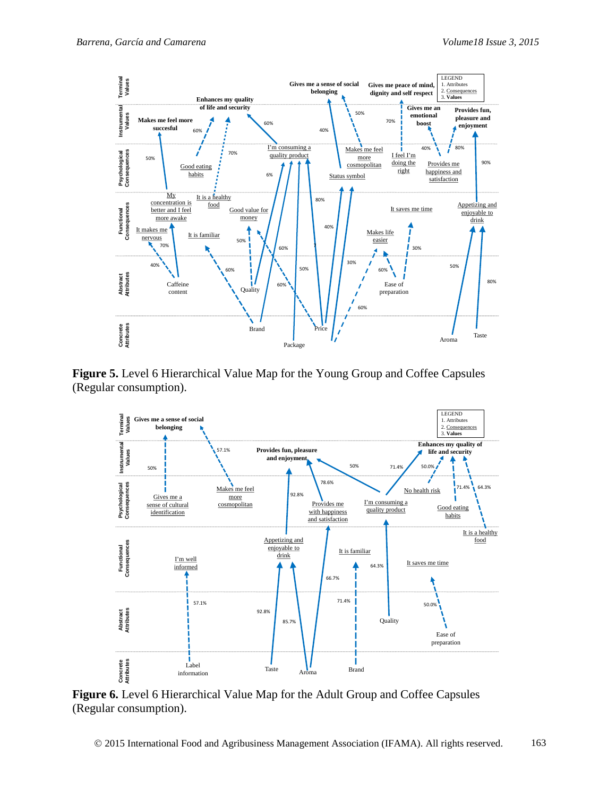

**Figure 5.** Level 6 Hierarchical Value Map for the Young Group and Coffee Capsules (Regular consumption).



**Figure 6.** Level 6 Hierarchical Value Map for the Adult Group and Coffee Capsules (Regular consumption).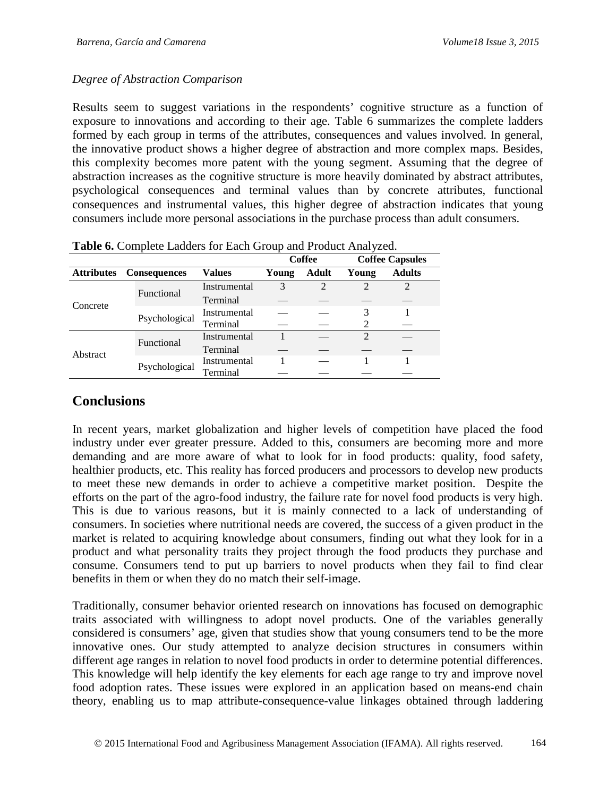#### *Degree of Abstraction Comparison*

Results seem to suggest variations in the respondents' cognitive structure as a function of exposure to innovations and according to their age. Table 6 summarizes the complete ladders formed by each group in terms of the attributes, consequences and values involved. In general, the innovative product shows a higher degree of abstraction and more complex maps. Besides, this complexity becomes more patent with the young segment. Assuming that the degree of abstraction increases as the cognitive structure is more heavily dominated by abstract attributes, psychological consequences and terminal values than by concrete attributes, functional consequences and instrumental values, this higher degree of abstraction indicates that young consumers include more personal associations in the purchase process than adult consumers.

| Tuble of Complete Eauders for Each Group and Frouder Final (200). |  |               |              |        |                |                        |   |
|-------------------------------------------------------------------|--|---------------|--------------|--------|----------------|------------------------|---|
|                                                                   |  |               |              | Coffee |                | <b>Coffee Capsules</b> |   |
| <b>Attributes</b><br><b>Consequences</b>                          |  | Values        | Young        | Adult  | Young          | <b>Adults</b>          |   |
|                                                                   |  | Functional    | Instrumental | 3      | $\mathfrak{D}$ | 2                      | 2 |
| Concrete                                                          |  |               | Terminal     |        |                |                        |   |
|                                                                   |  | Psychological | Instrumental |        |                | 3                      |   |
|                                                                   |  |               | Terminal     |        |                | 2                      |   |
| Abstract                                                          |  | Functional    | Instrumental |        |                | $\mathcal{L}$          |   |
|                                                                   |  |               | Terminal     |        |                |                        |   |
|                                                                   |  | Psychological | Instrumental |        |                |                        |   |
|                                                                   |  |               | Terminal     |        |                |                        |   |

**Table 6.** Complete Ladders for Each Group and Product Analyzed.

# **Conclusions**

In recent years, market globalization and higher levels of competition have placed the food industry under ever greater pressure. Added to this, consumers are becoming more and more demanding and are more aware of what to look for in food products: quality, food safety, healthier products, etc. This reality has forced producers and processors to develop new products to meet these new demands in order to achieve a competitive market position. Despite the efforts on the part of the agro-food industry, the failure rate for novel food products is very high. This is due to various reasons, but it is mainly connected to a lack of understanding of consumers. In societies where nutritional needs are covered, the success of a given product in the market is related to acquiring knowledge about consumers, finding out what they look for in a product and what personality traits they project through the food products they purchase and consume. Consumers tend to put up barriers to novel products when they fail to find clear benefits in them or when they do no match their self-image.

Traditionally, consumer behavior oriented research on innovations has focused on demographic traits associated with willingness to adopt novel products. One of the variables generally considered is consumers' age, given that studies show that young consumers tend to be the more innovative ones. Our study attempted to analyze decision structures in consumers within different age ranges in relation to novel food products in order to determine potential differences. This knowledge will help identify the key elements for each age range to try and improve novel food adoption rates. These issues were explored in an application based on means-end chain theory, enabling us to map attribute-consequence-value linkages obtained through laddering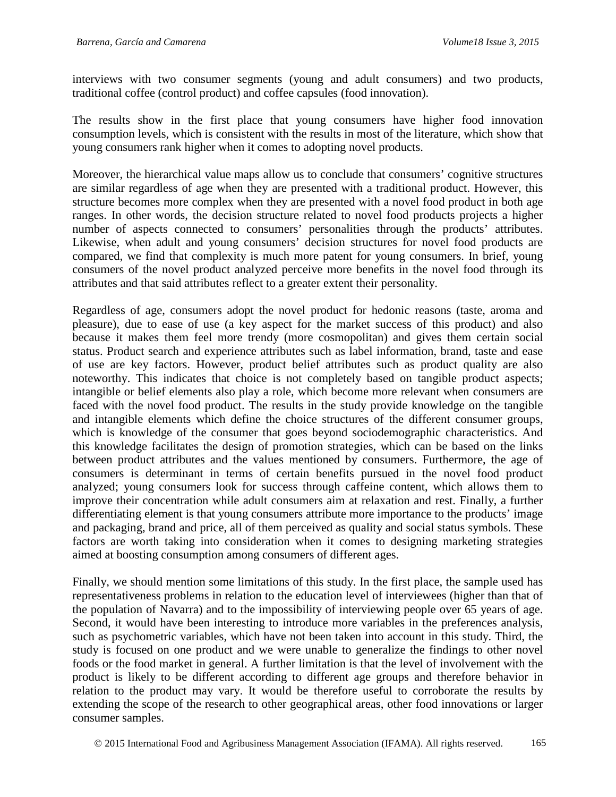interviews with two consumer segments (young and adult consumers) and two products, traditional coffee (control product) and coffee capsules (food innovation).

The results show in the first place that young consumers have higher food innovation consumption levels, which is consistent with the results in most of the literature, which show that young consumers rank higher when it comes to adopting novel products.

Moreover, the hierarchical value maps allow us to conclude that consumers' cognitive structures are similar regardless of age when they are presented with a traditional product. However, this structure becomes more complex when they are presented with a novel food product in both age ranges. In other words, the decision structure related to novel food products projects a higher number of aspects connected to consumers' personalities through the products' attributes. Likewise, when adult and young consumers' decision structures for novel food products are compared, we find that complexity is much more patent for young consumers. In brief, young consumers of the novel product analyzed perceive more benefits in the novel food through its attributes and that said attributes reflect to a greater extent their personality.

Regardless of age, consumers adopt the novel product for hedonic reasons (taste, aroma and pleasure), due to ease of use (a key aspect for the market success of this product) and also because it makes them feel more trendy (more cosmopolitan) and gives them certain social status. Product search and experience attributes such as label information, brand, taste and ease of use are key factors. However, product belief attributes such as product quality are also noteworthy. This indicates that choice is not completely based on tangible product aspects; intangible or belief elements also play a role, which become more relevant when consumers are faced with the novel food product. The results in the study provide knowledge on the tangible and intangible elements which define the choice structures of the different consumer groups, which is knowledge of the consumer that goes beyond sociodemographic characteristics. And this knowledge facilitates the design of promotion strategies, which can be based on the links between product attributes and the values mentioned by consumers. Furthermore, the age of consumers is determinant in terms of certain benefits pursued in the novel food product analyzed; young consumers look for success through caffeine content, which allows them to improve their concentration while adult consumers aim at relaxation and rest. Finally, a further differentiating element is that young consumers attribute more importance to the products' image and packaging, brand and price, all of them perceived as quality and social status symbols. These factors are worth taking into consideration when it comes to designing marketing strategies aimed at boosting consumption among consumers of different ages.

Finally, we should mention some limitations of this study. In the first place, the sample used has representativeness problems in relation to the education level of interviewees (higher than that of the population of Navarra) and to the impossibility of interviewing people over 65 years of age. Second, it would have been interesting to introduce more variables in the preferences analysis, such as psychometric variables, which have not been taken into account in this study. Third, the study is focused on one product and we were unable to generalize the findings to other novel foods or the food market in general. A further limitation is that the level of involvement with the product is likely to be different according to different age groups and therefore behavior in relation to the product may vary. It would be therefore useful to corroborate the results by extending the scope of the research to other geographical areas, other food innovations or larger consumer samples.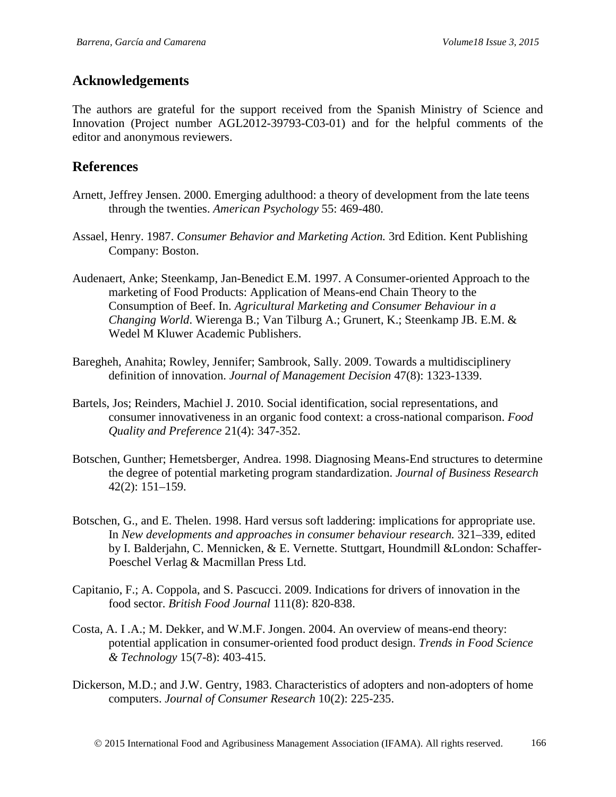# **Acknowledgements**

The authors are grateful for the support received from the Spanish Ministry of Science and Innovation (Project number AGL2012-39793-C03-01) and for the helpful comments of the editor and anonymous reviewers.

# **References**

- Arnett, Jeffrey Jensen. 2000. Emerging adulthood: a theory of development from the late teens through the twenties. *American Psychology* 55: 469-480.
- Assael, Henry. 1987. *Consumer Behavior and Marketing Action.* 3rd Edition. Kent Publishing Company: Boston.
- Audenaert, Anke; Steenkamp, Jan-Benedict E.M. 1997. A Consumer-oriented Approach to the marketing of Food Products: Application of Means-end Chain Theory to the Consumption of Beef. In. *Agricultural Marketing and Consumer Behaviour in a Changing World*. Wierenga B.; Van Tilburg A.; Grunert, K.; Steenkamp JB. E.M. & Wedel M Kluwer Academic Publishers.
- Baregheh, Anahita; Rowley, Jennifer; Sambrook, Sally. 2009. Towards a multidisciplinery definition of innovation. *Journal of Management Decision* 47(8): 1323-1339.
- Bartels, Jos; Reinders, Machiel J. 2010. Social identification, social representations, and consumer innovativeness in an organic food context: a cross-national comparison. *Food Quality and Preference* 21(4): 347-352.
- Botschen, Gunther; Hemetsberger, Andrea. 1998. Diagnosing Means-End structures to determine the degree of potential marketing program standardization. *Journal of Business Research* 42(2): 151–159.
- Botschen, G., and E. Thelen. 1998. Hard versus soft laddering: implications for appropriate use. In *New developments and approaches in consumer behaviour research.* 321–339, edited by I. Balderjahn, C. Mennicken, & E. Vernette. Stuttgart, Houndmill &London: Schaffer-Poeschel Verlag & Macmillan Press Ltd.
- Capitanio, F.; A. Coppola, and S. Pascucci. 2009. [Indications for drivers of innovation in the](http://www.emeraldinsight.com/journals.htm?articleid=1810515&show=abstract)  [food sector.](http://www.emeraldinsight.com/journals.htm?articleid=1810515&show=abstract) *British Food Journal* 111(8): 820-838.
- Costa, A. I .A.; M. Dekker, and W.M.F. Jongen. 2004. An overview of means-end theory: potential application in consumer-oriented food product design. *Trends in Food Science & Technology* 15(7-8): 403-415.
- Dickerson, M.D.; and J.W. Gentry, 1983. Characteristics of adopters and non-adopters of home computers. *Journal of Consumer Research* 10(2): 225-235.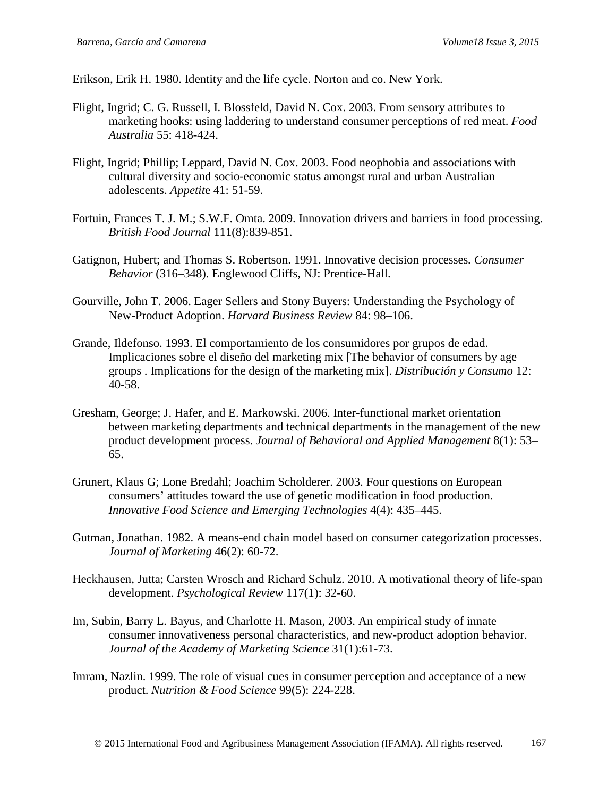Erikson, Erik H. 1980. Identity and the life cycle. Norton and co. New York.

- Flight, Ingrid; C. G. Russell, I. Blossfeld, David N. Cox. 2003. From sensory attributes to marketing hooks: using laddering to understand consumer perceptions of red meat. *Food Australia* 55: 418-424.
- Flight, Ingrid; Phillip; Leppard, David N. Cox. 2003. Food neophobia and associations with cultural diversity and socio-economic status amongst rural and urban Australian adolescents. *Appetit*e 41: 51-59.
- Fortuin, Frances T. J. M.; S.W.F. Omta. 2009. Innovation drivers and barriers in food processing. *British Food Journal* 111(8):839-851.
- Gatignon, Hubert; and Thomas S. Robertson. 1991. Innovative decision processes*. Consumer Behavior* (316–348). Englewood Cliffs, NJ: Prentice-Hall.
- Gourville, John T. 2006. Eager Sellers and Stony Buyers: Understanding the Psychology of New-Product Adoption. *Harvard Business Review* 84: 98–106.
- Grande, Ildefonso. 1993. El comportamiento de los consumidores por grupos de edad. Implicaciones sobre el diseño del marketing mix [The behavior of consumers by age groups . Implications for the design of the marketing mix]. *Distribución y Consumo* 12: 40-58.
- Gresham, George; J. Hafer, and E. Markowski. 2006. Inter-functional market orientation between marketing departments and technical departments in the management of the new product development process. *Journal of Behavioral and Applied Management* 8(1): 53– 65.
- Grunert, Klaus G; Lone Bredahl; Joachim Scholderer. 2003. Four questions on European consumers' attitudes toward the use of genetic modification in food production. *Innovative Food Science and Emerging Technologies* 4(4): 435–445.
- Gutman, Jonathan. 1982. A means-end chain model based on consumer categorization processes. *Journal of Marketing* 46(2): 60-72.
- Heckhausen, Jutta; Carsten Wrosch and Richard Schulz. 2010. A motivational theory of life-span development. *Psychological Review* 117(1): 32-60.
- Im, Subin, Barry L. Bayus, and Charlotte H. Mason, 2003. An empirical study of innate consumer innovativeness personal characteristics, and new-product adoption behavior. *Journal of the Academy of Marketing Science* 31(1):61-73.
- Imram, Nazlin. 1999. The role of visual cues in consumer perception and acceptance of a new product. *Nutrition & Food Science* 99(5): 224-228.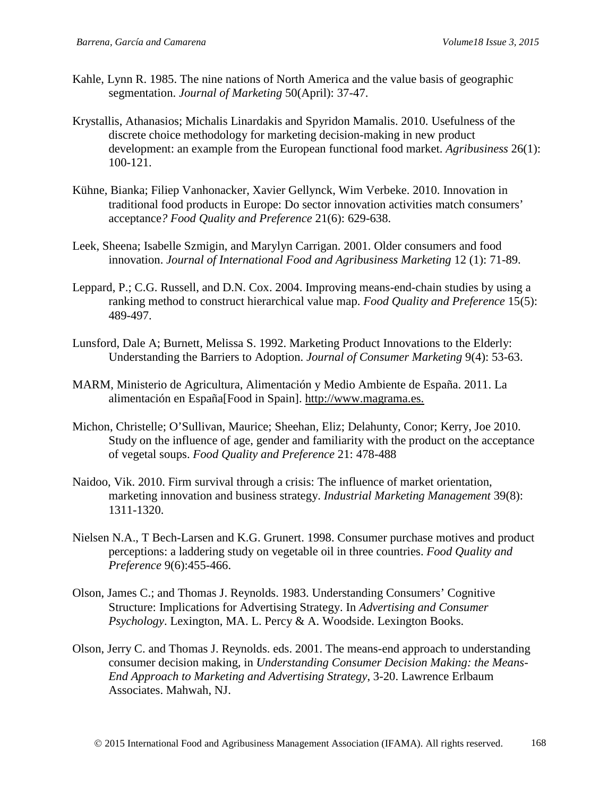- Kahle, Lynn R. 1985. The nine nations of North America and the value basis of geographic segmentation. *Journal of Marketing* 50(April): 37-47.
- Krystallis, Athanasios; Michalis Linardakis and Spyridon Mamalis. 2010. Usefulness of the discrete choice methodology for marketing decision-making in new product development: an example from the European functional food market. *Agribusiness* 26(1): 100-121.
- Kühne, Bianka; Filiep Vanhonacker, Xavier Gellynck, Wim Verbeke. 2010. Innovation in traditional food products in Europe: Do sector innovation activities match consumers' acceptance*? Food Quality and Preference* 21(6): 629-638.
- Leek, Sheena; Isabelle Szmigin, and Marylyn Carrigan. 2001. Older consumers and food innovation. *Journal of International Food and Agribusiness Marketing* 12 (1): 71-89.
- Leppard, P.; C.G. Russell, and D.N. Cox. 2004. Improving means-end-chain studies by using a ranking method to construct hierarchical value map. *Food Quality and Preference* 15(5): 489-497.
- Lunsford, Dale A; Burnett, Melissa S. 1992. Marketing Product Innovations to the Elderly: Understanding the Barriers to Adoption. *Journal of Consumer Marketing* 9(4): 53-63.
- MARM, Ministerio de Agricultura, Alimentación y Medio Ambiente de España. 2011. La alimentación en España[Food in Spain]. [http://www.magrama.es.](http://www.magrama.es/)
- Michon, Christelle; O'Sullivan, Maurice; Sheehan, Eliz; Delahunty, Conor; Kerry, Joe 2010. Study on the influence of age, gender and familiarity with the product on the acceptance of vegetal soups. *Food Quality and Preference* 21: 478-488
- Naidoo, Vik. 2010. Firm survival through a crisis: The influence of market orientation, marketing innovation and business strategy. *Industrial Marketing Management* 39(8): 1311-1320.
- Nielsen N.A., T Bech-Larsen and K.G. Grunert. 1998. Consumer purchase motives and product perceptions: a laddering study on vegetable oil in three countries. *Food Quality and Preference* 9(6):455-466.
- Olson, James C.; and Thomas J. Reynolds. 1983. Understanding Consumers' Cognitive Structure: Implications for Advertising Strategy. In *Advertising and Consumer Psychology*. Lexington, MA. L. Percy & A. Woodside. Lexington Books.
- Olson, Jerry C. and Thomas J. Reynolds. eds. 2001. The means-end approach to understanding consumer decision making*,* in *Understanding Consumer Decision Making: the Means-End Approach to Marketing and Advertising Strategy*, 3-20. Lawrence Erlbaum Associates. Mahwah, NJ.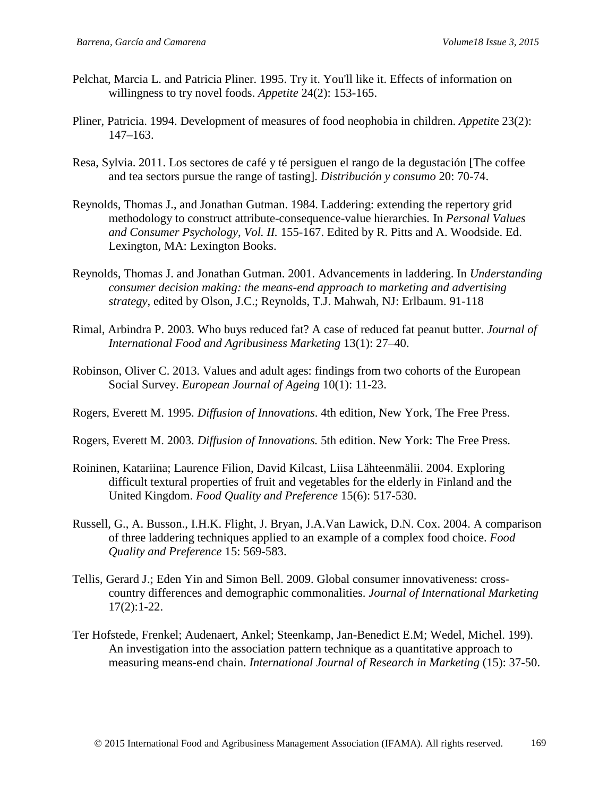- Pelchat, Marcia L. and Patricia Pliner. 1995. Try it. You'll like it. Effects of information on willingness to try novel foods. *Appetite* 24(2): 153-165.
- Pliner, Patricia. 1994. Development of measures of food neophobia in children. *Appetit*e 23(2): 147–163.
- Resa, Sylvia. 2011. Los sectores de café y té persiguen el rango de la degustación [The coffee and tea sectors pursue the range of tasting]. *Distribución y consumo* 20: 70-74.
- Reynolds, Thomas J., and Jonathan Gutman. 1984. Laddering: extending the repertory grid methodology to construct attribute-consequence-value hierarchies*.* In *Personal Values and Consumer Psychology*, *Vol. II.* 155-167. Edited by R. Pitts and A. Woodside. Ed. Lexington, MA: Lexington Books.
- Reynolds, Thomas J. and Jonathan Gutman. 2001. Advancements in laddering. In *Understanding consumer decision making: the means-end approach to marketing and advertising strategy*, edited by Olson, J.C.; Reynolds, T.J. Mahwah, NJ: Erlbaum. 91-118
- Rimal, Arbindra P. 2003. Who buys reduced fat? A case of reduced fat peanut butter. *Journal of International Food and Agribusiness Marketing* 13(1): 27–40.
- Robinson, Oliver C. 2013. Values and adult ages: findings from two cohorts of the European Social Survey. *European Journal of Ageing* 10(1): 11-23.
- Rogers, Everett M. 1995. *Diffusion of Innovations*. 4th edition, New York, The Free Press.
- Rogers, Everett M. 2003. *Diffusion of Innovations.* 5th edition. New York: The Free Press.
- Roininen, Katariina; Laurence Filion, David Kilcast, Liisa Lähteenmälii. 2004. Exploring difficult textural properties of fruit and vegetables for the elderly in Finland and the United Kingdom. *Food Quality and Preference* 15(6): 517-530.
- Russell, G., A. Busson., I.H.K. Flight, J. Bryan, J.A.Van Lawick, D.N. Cox. 2004. A comparison of three laddering techniques applied to an example of a complex food choice. *Food Quality and Preference* 15: 569-583.
- Tellis, Gerard J.; Eden Yin and Simon Bell. 2009. Global consumer innovativeness: crosscountry differences and demographic commonalities. *Journal of International Marketing* 17(2):1-22.
- Ter Hofstede, Frenkel; Audenaert, Ankel; Steenkamp, Jan-Benedict E.M; Wedel, Michel. 199). An investigation into the association pattern technique as a quantitative approach to measuring means-end chain. *International Journal of Research in Marketing* (15): 37-50.